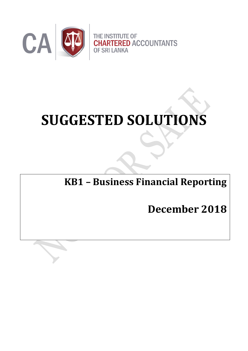

# **SUGGESTED SOLUTIONS**

## **KB1 – Business Financial Reporting**

# **December 2018**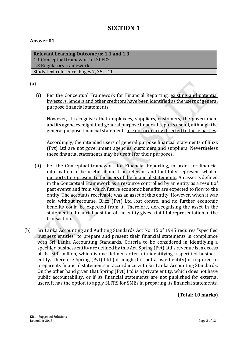### **SECTION 1**

#### **Answer 01**

**Relevant Learning Outcome/s: 1.1 and 1.3** 1.1 Conceptual framework of SLFRS. 1.3 Regulatory framework. Study text reference: Pages 7, 35 – 41

(a)

(i) Per the Conceptual Framework for Financial Reporting, existing and potential investors, lenders and other creditors have been identified as the users of general purpose financial statements.

However, it recognises that employees, suppliers, customers, the government and its agencies might find general purpose financial reports useful, although the general purpose financial statements are not primarily directed to these parties.

Accordingly, the intended users of general purpose financial statements of Blizz (Pvt) Ltd are not government agencies, customers and suppliers. Nevertheless these financial statements may be useful for their purposes.

- (ii) Per the Conceptual framework for Financial Reporting, in order for financial information to be useful, it must be relevant and faithfully represent what it purports to represent to the users of the financial statements. An asset is defined in the Conceptual Framework as a resource controlled by an entity as a result of past events and from which future economic benefits are expected to flow to the entity. The accounts receivable was an asset of this entity. However, when it was sold without recourse, Blizz (Pvt) Ltd lost control and no further economic benefits could be expected from it. Therefore, derecognising the asset in the statement of financial position of the entity gives a faithful representation of the transaction.
- (b) Sri Lanka Accounting and Auditing Standards Act No. 15 of 1995 requires "specified business entities" to prepare and present their financial statements in compliance with Sri Lanka Accounting Standards. Criteria to be considered in identifying a specified business entity are defined by this Act. Spring (Pvt) Ltd's revenue is in excess of Rs. 500 million, which is one defined criteria in identifying a specified business entity. Therefore Spring (Pvt) Ltd (although it is not a listed entity) is required to prepare its financial statements in accordance with Sri Lanka Accounting Standards. On the other hand given that Spring (Pvt) Ltd is a private entity, which does not have public accountability, or if its financial statements are not published for external users, it has the option to apply SLFRS for SMEs in preparing its financial statements.

**(Total: 10 marks)**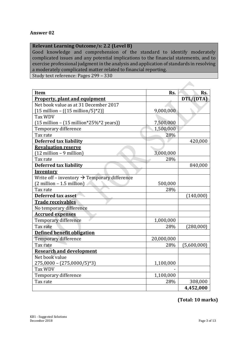#### **Relevant Learning Outcome/s: 2.2 (Level B)**

Good knowledge and comprehension of the standard to identify moderately complicated issues and any potential implications to the financial statements, and to exercise professional judgment in the analysis and application of standards in resolving a moderately complicated matter related to financial reporting.

Study text reference: Pages 299 – 330

| Item                                                                   | Rs.        | Rs.         |
|------------------------------------------------------------------------|------------|-------------|
| <b>Property, plant and equipment</b>                                   |            | DTL/(DTA)   |
| Net book value as at 31 December 2017                                  |            |             |
| $[15 \text{ million} - ((15 \text{ million}/5)^*2)]$                   | 9,000,000  |             |
| <b>Tax WDV</b>                                                         |            |             |
| $(15 \text{ million} - (15 \text{ million} * 25\% * 2 \text{ years}))$ | 7,500,000  |             |
| Temporary difference                                                   | 1,500,000  |             |
| Tax rate                                                               | 28%        |             |
| <b>Deferred tax liability</b>                                          |            | 420,000     |
| <b>Revaluation reserve</b>                                             |            |             |
| $(12 \text{ million} - 9 \text{ million})$                             | 3,000,000  |             |
| Tax rate                                                               | 28%        |             |
| <b>Deferred tax liability</b>                                          |            | 840,000     |
| Inventory                                                              |            |             |
| Write off – inventory $\rightarrow$ Temporary difference               |            |             |
| $(2 \text{ million} - 1.5 \text{ million})$                            | 500,000    |             |
| Tax rate                                                               | 28%        |             |
| Deferred tax asset                                                     |            | (140,000)   |
| <b>Trade receivables</b>                                               |            |             |
| No temporary difference                                                |            |             |
| <b>Accrued expenses</b>                                                |            |             |
| Temporary difference                                                   | 1,000,000  |             |
| Tax rate                                                               | 28%        | (280,000)   |
| <b>Defined benefit obligation</b>                                      |            |             |
| Temporary difference                                                   | 20,000,000 |             |
| Tax rate                                                               | 28%        | (5,600,000) |
| <b>Research and development</b>                                        |            |             |
| Net book value                                                         |            |             |
| $275,0000 - (275,0000/5)^*3$                                           | 1,100,000  |             |
| <b>Tax WDV</b>                                                         |            |             |
| Temporary difference                                                   | 1,100,000  |             |
| Tax rate                                                               | 28%        | 308,000     |
|                                                                        |            | 4,452,000   |

#### **(Total: 10 marks)**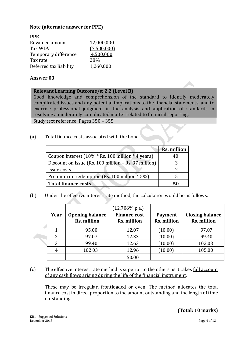#### **Note (alternate answer for PPE)**

| <b>PPE</b>             |             |
|------------------------|-------------|
| Revalued amount        | 12,000,000  |
| <b>Tax WDV</b>         | (7,500,000) |
| Temporary difference   | 4,500,000   |
| Tax rate               | 28%         |
| Deferred tax liability | 1,260,000   |

#### **Answer 03**

#### **Relevant Learning Outcome/s: 2.2 (Level B)**

Good knowledge and comprehension of the standard to identify moderately complicated issues and any potential implications to the financial statements, and to exercise professional judgment in the analysis and application of standards in resolving a moderately complicated matter related to financial reporting.

Study text reference: Pages 350 – 355

(a) Total finance costs associated with the bond

|                                                                              | <b>Rs. million</b> |
|------------------------------------------------------------------------------|--------------------|
| Coupon interest $(10\% * \text{Rs. } 100 \text{ million} * 4 \text{ years})$ | 40                 |
| Discount on issue (Rs. 100 million - Rs. 97 million)                         |                    |
| Issue costs                                                                  |                    |
| Premium on redemption (Rs. 100 million * 5%)                                 | 5.                 |
| <b>Total finance costs</b>                                                   | 50                 |

(b) Under the effective interest rate method, the calculation would be as follows.

|      |                        | $(12.706\% \text{ p.a.})$ |                |                        |
|------|------------------------|---------------------------|----------------|------------------------|
| Year | <b>Opening balance</b> | <b>Finance cost</b>       | <b>Payment</b> | <b>Closing balance</b> |
|      | Rs. million            | Rs. million               | Rs. million    | Rs. million            |
|      | 95.00                  | 12.07                     | (10.00)        | 97.07                  |
| ി    | 97.07                  | 12.33                     | (10.00)        | 99.40                  |
| 3    | 99.40                  | 12.63                     | (10.00)        | 102.03                 |
|      | 102.03                 | 12.96                     | (10.00)        | 105.00                 |
|      |                        | 50.00                     |                |                        |

(c) The effective interest rate method is superior to the others as it takes full account of any cash flows arising during the life of the financial instrument.

These may be irregular, frontloaded or even. The method allocates the total finance cost in direct proportion to the amount outstanding and the length of time outstanding.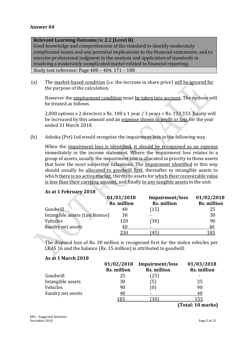#### **Relevant Learning Outcome/s: 2.2 (Level B)**

Good knowledge and comprehension of the standard to identify moderately complicated issues and any potential implications to the financial statements, and to exercise professional judgment in the analysis and application of standards in resolving a moderately complicated matter related to financial reporting. Study text reference: Page 400 – 404, 171 – 188

(a) The market-based condition (i.e. the increase in share price) will be ignored for the purpose of the calculation.

However the employment condition must be taken into account. The options will be treated as follows.

2,000 options x 2 directors x Rs.  $100 \times 1$  year / 3 years = Rs. 133,333. Equity will be increased by this amount and an expense shown in profit or loss for the year ended 31 March 2018.

(b) Ashoka (Pvt) Ltd would recognise the impairment loss in the following way.

When the impairment loss is identified, it should be recognised as an expense immediately in the income statement. Where the impairment loss relates to a group of assets, usually the impairment loss is allocated in priority to those assets that have the most subjective valuations. The impairment identified in this way should usually be allocated to goodwill first, thereafter to intangible assets to which there is no active market, thirdly to assets for which their recoverable value is less than their carrying amount, and finally to any tangible assets in the unit.

#### **As at 1 February 2018**

|                                  | 01/01/2018<br><b>Rs. million</b> | Impairment/loss<br><b>Rs. million</b> | 01/02/2018<br>Rs. million |
|----------------------------------|----------------------------------|---------------------------------------|---------------------------|
| Goodwill                         | 40                               | (15)                                  | 25                        |
| Intangible assets (taxi license) | 30                               |                                       | 30                        |
| Vehicles                         | 120                              | 30)                                   | 90                        |
| Sundry net assets                | 41                               | -                                     | 40                        |
|                                  | <u>230</u>                       | 45                                    | <u>.85</u>                |

The disposal loss of Rs. 30 million is recognised first for the stolen vehicles per LKAS 16 and the balance (Rs. 15 million) is attributed to goodwill.

#### **As at 1 March 2018**

|                   | 01/02/2018<br>Rs. million | Impairment/loss<br><b>Rs. million</b> | 01/03/2018<br>Rs. million |
|-------------------|---------------------------|---------------------------------------|---------------------------|
| Goodwill          | 25                        | $^{[25]}$                             | ۰                         |
| Intangible assets | 30                        | ์5)                                   | 25                        |
| Vehicles          | 90                        | $\left(0\right)$                      | 90                        |
| Sundry net assets | 40                        | -                                     | 40                        |
|                   | 185                       |                                       |                           |

**(Total: 10 marks)**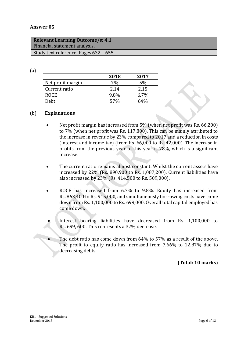| <b>Relevant Learning Outcome/s: 4.1</b> |
|-----------------------------------------|
| Financial statement analysis.           |
| Study text reference: Pages 632 – 655   |

(a)

|                   | 2018 | 2017    |
|-------------------|------|---------|
| Net profit margin | 7%   | 5%      |
| Current ratio     | 2.14 | 2.15    |
| <b>ROCE</b>       | 9.8% | $6.7\%$ |
| Debt              | 57%  | 64%     |

#### (b) **Explanations**

- Net profit margin has increased from 5% (when net profit was Rs. 66,200) to 7% (when net profit was Rs. 117,800). This can be mainly attributed to the increase in revenue by 23% compared to 2017 and a reduction in costs (interest and income tax) (from Rs. 66,000 to Rs. 42,000). The increase in profits from the previous year to this year is 78%, which is a significant increase.
- The current ratio remains almost constant. Whilst the current assets have increased by 22% (Rs. 890,900 to Rs. 1,087,200), Current liabilities have also increased by 23% (Rs. 414,500 to Rs. 509,000).
- ROCE has increased from 6.7% to 9.8%. Equity has increased from Rs. 863,400 to Rs. 915,000, and simultaneously borrowing costs have come down from Rs. 1,100,000 to Rs. 699,000. Overall total capital employed has come down.
- Interest bearing liabilities have decreased from Rs. 1,100,000 to Rs. 699, 600. This represents a 37% decrease.
- The debt ratio has come down from 64% to 57% as a result of the above. The profit to equity ratio has increased from 7.66% to 12.87% due to decreasing debts.

**(Total: 10 marks)**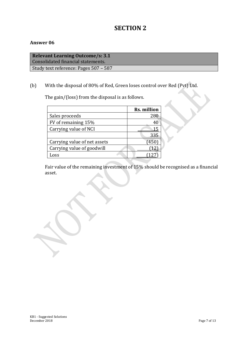### **SECTION 2**

#### **Answer 06**

**Relevant Learning Outcome/s: 3.1** Consolidated financial statements. Study text reference: Pages 507 – 587

#### (b) With the disposal of 80% of Red, Green loses control over Red (Pvt) Ltd.

The gain/(loss) from the disposal is as follows.

|                              | <b>Rs. million</b> |
|------------------------------|--------------------|
| Sales proceeds               | 280                |
| FV of remaining 15%          |                    |
| Carrying value of NCI        |                    |
|                              | 335                |
| Carrying value of net assets | (450               |
| Carrying value of goodwill   |                    |
| Loss                         |                    |

Fair value of the remaining investment of 15% should be recognised as a financial asset.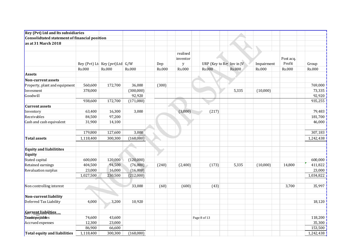| <b>Rey (Pvt) Ltd and Its subsidiaries</b>     |               |                               |               |        |                      |                          |               |               |           |               |
|-----------------------------------------------|---------------|-------------------------------|---------------|--------|----------------------|--------------------------|---------------|---------------|-----------|---------------|
| Consolidtated statement of financial position |               |                               |               |        |                      |                          |               |               |           |               |
| as at 31 March 2018                           |               |                               |               |        |                      |                          |               |               |           |               |
|                                               |               |                               |               |        |                      |                          |               |               |           |               |
|                                               |               |                               |               |        | realised<br>inventor |                          |               |               | Post acq. |               |
|                                               |               | Rey (Pvt) Lt Key (pvt)Ltd G/W |               | Dep    | $\mathbf y$          | URP (Key to Re Inv in JV |               | Impairment    | Profit    | Group         |
|                                               | <b>Rs.000</b> | <b>Rs.000</b>                 | <b>Rs.000</b> | Rs.000 | <b>Rs.000</b>        | <b>Rs.000</b>            | <b>Rs.000</b> | <b>Rs.000</b> | Rs.000    | <b>Rs.000</b> |
| <b>Assets</b>                                 |               |                               |               |        |                      |                          |               |               |           |               |
| Non-current assets                            |               |                               |               |        |                      |                          |               |               |           |               |
| Property, plant and equipment                 | 560,600       | 172,700                       | 36,000        | (300)  |                      |                          |               |               |           | 769,000       |
| Invesment                                     | 378,000       |                               | (300,000)     |        |                      |                          | 5,335         | (10,000)      |           | 73,335        |
| Goodwill                                      |               |                               | 92,920        |        |                      |                          |               |               |           | 92,920        |
|                                               | 938,600       | 172,700                       | (171,080)     |        |                      |                          |               |               |           | 935,255       |
| <b>Current assets</b>                         |               |                               |               |        |                      |                          |               |               |           |               |
| Inventory                                     | 63,400        | 16,300                        | 3,000         |        | (3,000)              | (217)                    |               |               |           | 79,483        |
| Receivables                                   | 84,500        | 97,200                        |               |        |                      |                          |               |               |           | 181,700       |
| Cash and cash equivalent                      | 31,900        | 14,100                        |               |        |                      |                          |               |               |           | 46,000        |
|                                               |               |                               |               |        |                      |                          |               |               |           |               |
|                                               | 179,800       | 127,600                       | 3,000         |        |                      |                          |               |               |           | 307,183       |
| Total assets                                  | 1,118,400     | 300,300                       | (168,080)     |        |                      |                          |               |               |           | 1,242,438     |
|                                               |               |                               |               |        |                      |                          |               |               |           |               |
| <b>Equity and liabilitites</b>                |               |                               |               |        |                      |                          |               |               |           |               |
| Equity                                        |               |                               |               |        |                      |                          |               |               |           |               |
| Stated capital                                | 600,000       | 120,000                       | (120,000)     |        |                      |                          |               |               |           | 600,000       |
| Retained earnings                             | 404,500       | 94,500                        | (76,000)      | (240)  | (2,400)              | (173)                    | 5,335         | (10,000)      | 14,800    | 411,822       |
| <b>Revaluation surplus</b>                    | 23,000        | 16,000                        | (16,000)      |        |                      |                          |               |               |           | 23,000        |
|                                               | 1,027,500     | 230,500                       | (212,000)     |        |                      |                          |               |               |           | 1,034,822     |
|                                               |               |                               |               |        |                      |                          |               |               |           |               |
| Non controlling interest                      |               |                               | 33,000        | (60)   | (600)                | (43)                     |               |               | 3,700     | 35,997        |
|                                               |               |                               |               |        |                      |                          |               |               |           |               |
| Non-current liability                         |               |                               |               |        |                      |                          |               |               |           |               |
| Deferred Tax Liability                        | 4,000         | 3,200                         | 10,920        |        |                      |                          |               |               |           | 18,120        |
|                                               |               |                               |               |        |                      |                          |               |               |           |               |
| Gurrent liabilities                           |               |                               |               |        |                      |                          |               |               |           |               |
| Tecaddopagables                               | 74,600        | 43,600                        |               |        |                      | Page 8 of 13             |               |               |           | 118,200       |
| Accrued expenses                              | 12,300        | 23,000                        |               |        |                      |                          |               |               |           | 35,300        |
|                                               | 86,900        | 66,600                        |               |        |                      |                          |               |               |           | 153,500       |
| Total equity and liabilities                  | 1,118,400     | 300,300                       | (168,080)     |        |                      |                          |               |               |           | 1,242,438     |
|                                               |               |                               |               |        |                      |                          |               |               |           |               |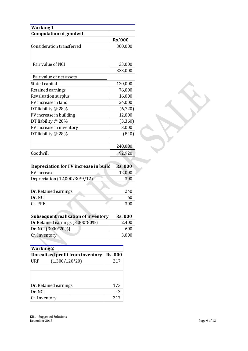| <b>Working 1</b>    |                                         |                |                |
|---------------------|-----------------------------------------|----------------|----------------|
|                     | <b>Computation of goodwill</b>          |                |                |
|                     |                                         | <b>Rs.'000</b> |                |
|                     | <b>Consideration transferred</b>        |                | 300,000        |
|                     |                                         |                |                |
| Fair value of NCI   |                                         |                | 33,000         |
|                     |                                         |                | 333,000        |
|                     | Fair value of net assets                |                |                |
| Stated capital      |                                         |                | 120,000        |
| Retained earnings   |                                         |                | 76,000         |
|                     | Revaluation surplus                     |                | 16,000         |
| FV increase in land |                                         |                | 24,000         |
| DT liability @ 28%  |                                         |                | (6,720)        |
|                     | FV increase in building                 |                | 12,000         |
| DT liability @ 28%  |                                         |                | (3,360)        |
|                     | FV increase in inventory                |                | 3,000          |
| DT liability @ 28%  |                                         |                | (840)          |
|                     |                                         |                |                |
|                     |                                         |                | 240,080        |
| Goodwill            |                                         |                | 92,920         |
|                     |                                         |                |                |
|                     |                                         |                |                |
|                     | Depreciation for FV increase in build   |                | <b>Rs.'000</b> |
| FV increase         |                                         |                | 12,000         |
|                     | Depreciation (12,000/30*9/12)           |                | 300            |
|                     |                                         |                |                |
|                     | Dr. Retained earnings                   |                | 240            |
| Dr. NCI             |                                         |                | 60             |
| Cr. PPE             |                                         |                | 300            |
|                     |                                         |                |                |
|                     | Subsequent realisation of inventory     |                | <b>Rs.'000</b> |
|                     | Dr Retained earnings (3,000*80%)        |                | 2,400          |
|                     | Dr. NCI (3000*20%)                      |                | 600            |
| Cr. Inventory       |                                         |                | 3,000          |
|                     |                                         |                |                |
| <b>Working 2</b>    |                                         |                |                |
|                     | <b>Unrealised profit from inventory</b> | <b>Rs.'000</b> |                |
| <b>URP</b>          | $(1,300/120*20)$                        | 217            |                |
|                     |                                         |                |                |
|                     |                                         |                |                |
|                     | Dr. Retained earnings                   | 173            |                |
| Dr. NCI             |                                         | 43             |                |

| <b>Working 2</b> |                                  |                |     |
|------------------|----------------------------------|----------------|-----|
|                  | Unrealised profit from inventory | <b>Rs.'000</b> |     |
| <b>URP</b>       | $(1,300/120*20)$                 |                | 217 |
|                  |                                  |                |     |
|                  |                                  |                |     |
|                  |                                  |                |     |
|                  | Dr. Retained earnings            |                | 173 |
| Dr. NCI          |                                  |                | 43  |
| Cr. Inventory    | 217                              |                |     |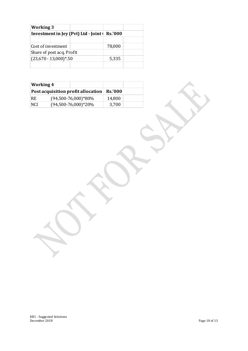| <b>Working 3</b>                              |  |        |  |
|-----------------------------------------------|--|--------|--|
| Investment in Jey (Pvt) Ltd - Joint   Rs.'000 |  |        |  |
|                                               |  |        |  |
| Cost of investment                            |  | 78,000 |  |
| Share of post acq. Profit                     |  |        |  |
| $(23,670 - 13,000)$ <sup>*</sup> .50          |  | 5,335  |  |
|                                               |  |        |  |

| Working 4                          |                        |                |  |
|------------------------------------|------------------------|----------------|--|
| Post acquisition profit allocation |                        | <b>Rs.'000</b> |  |
| RE.                                | $(94,500-76,000)*80\%$ | 14,800         |  |
| <b>NCI</b>                         | $(94,500-76,000)*20\%$ | 3,700          |  |

KB 1 - Suggested Solutions December 2018 Page 10 of 13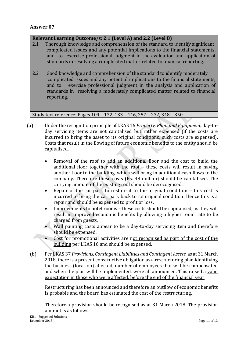#### **Relevant Learning Outcome/s: 2.1 (Level A) and 2.2 (Level B)**

- 2.1 Thorough knowledge and comprehension of the standard to identify significant complicated issues and any potential implications to the financial statements, and to exercise professional judgment in the evaluation and application of standards in resolving a complicated matter related to financial reporting.
- 2.2 Good knowledge and comprehension of the standard to identify moderately complicated issues and any potential implications to the financial statements, and to exercise professional judgment in the analysis and application of standards in resolving a moderately complicated matter related to financial reporting.

Study text reference: Pages 109 – 132, 133 – 146, 257 – 272, 348 – 350

- (a) Under the recognition principle of LKAS 16 *Property, Plant and Equipment*, day-today servicing items are not capitalised but rather expensed (if the costs are incurred to bring the asset to its original conditions, such costs are expensed). Costs that result in the flowing of future economic benefits to the entity should be capitalised.
	- Removal of the roof to add an additional floor and the cost to build the additional floor together with the roof – these costs will result in having another floor to the building, which will bring in additional cash flows to the company. Therefore these costs (Rs. 48 million) should be capitalised. The carrying amount of the existing roof should be derecognised.
	- Repair of the car park to restore it to the original condition this cost is incurred to bring the car park back to its original condition. Hence this is a repair and should be expensed to profit or loss.
	- Improvements to hotel rooms these costs should be capitalised, as they will result in improved economic benefits by allowing a higher room rate to be charged from guests.
	- Wall painting costs appear to be a day-to-day servicing item and therefore should be expensed.
	- Cost for promotional activities are not recognised as part of the cost of the building per LKAS 16 and should be expensed.
	- (b) Per LKAS 37 *Provisions, Contingent Liabilities and Contingent Assets,* as at 31 March 2018, there is a present constructive obligation as a restructuring plan identifying the business (location) affected, number of employees that will be compensated and when the plan will be implemented, were all announced. This raised a valid expectation in those who were affected, before the end of the financial year

Restructuring has been announced and therefore an outflow of economic benefits is probable and the board has estimated the cost of the restructuring.

Therefore a provision should be recognised as at 31 March 2018. The provision amount is as follows.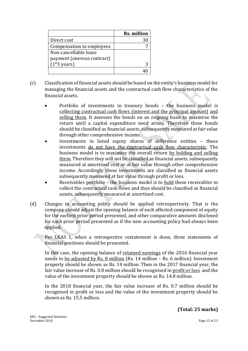|                            | <b>Rs. million</b> |
|----------------------------|--------------------|
| Direct cost                |                    |
| Compensation to employees  |                    |
| Non-cancellable lease      |                    |
| payment (onerous contract) |                    |
| $(1*3 \text{ years})$      |                    |
|                            |                    |

- (c) Classification of financial assets should be based on the entity's business model for managing the financial assets and the contractual cash flow characteristics of the financial assets.
	- Portfolio of investments in treasury bonds the business model is collecting contractual cash flows (interest and the principal amount) and selling them. It assesses the bonds on an ongoing basis to maximise the return until a capital expenditure need arises. Therefore these bonds should be classified as financial assets, subsequently measured at fair value through other comprehensive income.
	- Investments in listed equity shares of difference entities these investments do not have the contractual cash flow characteristic. The business model is to maximise the overall return by holding and selling them. Therefore they will not be classified as financial assets, subsequently measured at amortised cost or at fair value through other comprehensive income. Accordingly these investments are classified as financial assets subsequently measured at fair value through profit or loss.
	- Receivables portfolio the business model is to hold these receivables to collect the contractual cash flows and thus should be classified as financial assets, subsequently measured at amortised cost.
- (d) Changes in accounting policy should be applied retrospectively. That is the company should adjust the opening balance of each affected component of equity for the earliest prior period presented, and other comparative amounts disclosed for each prior period presented as if the new accounting policy had always been applied.

Per LKAS 1, when a retrospective restatement is done, three statements of financial positions should be presented.

In this case, the opening balance of retained earnings of the 2016 financial year needs to be adjusted by Rs. 8 million (Rs. 14 million – Rs. 6 million). Investment property should be shown as Rs. 14 million. Then in the 2017 financial year, the fair value increase of Rs. 0.8 million should be recognised in profit or loss and the value of the investment property should be shown as Rs. 14.8 million.

In the 2018 financial year, the fair value increase of Rs. 0.7 million should be recognised in profit or loss and the value of the investment property should be shown as Rs. 15.5 million.